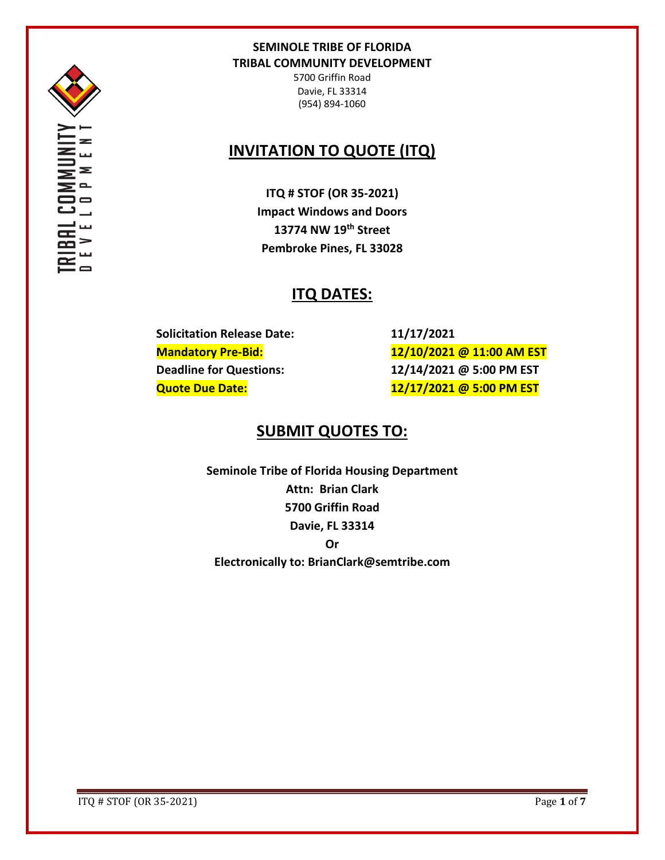

EOMMUI<br>I O P M E

5700 Griffin Road Davie, FL 33314 (954) 894-1060

# **INVITATION TO QUOTE (ITQ)**

**ITQ # STOF (OR 35-2021) Impact Windows and Doors 13774 NW 19th Street Pembroke Pines, FL 33028**

# **ITQ DATES:**

**Solicitation Release Date: 11/17/2021**

**Mandatory Pre-Bid: 12/10/2021 @ 11:00 AM EST Deadline for Questions: 12/14/2021 @ 5:00 PM EST Quote Due Date: 12/17/2021 @ 5:00 PM EST**

# **SUBMIT QUOTES TO:**

**Seminole Tribe of Florida Housing Department Attn: Brian Clark 5700 Griffin Road Davie, FL 33314 Or Electronically to: BrianClark@semtribe.com** 

ITQ # STOF (OR 35-2021) Page **1** of **7**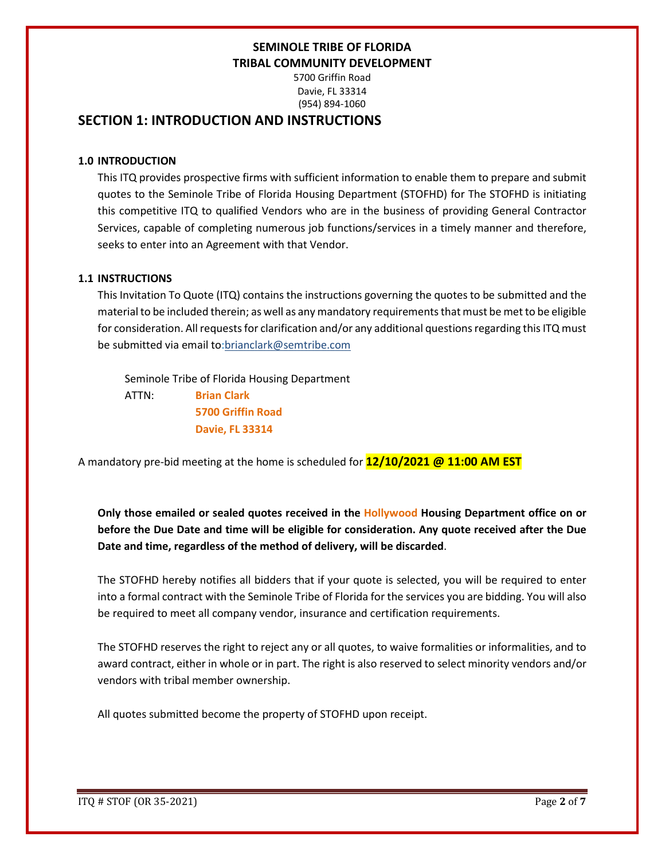5700 Griffin Road Davie, FL 33314 (954) 894-1060

## **SECTION 1: INTRODUCTION AND INSTRUCTIONS**

### **1.0 INTRODUCTION**

This ITQ provides prospective firms with sufficient information to enable them to prepare and submit quotes to the Seminole Tribe of Florida Housing Department (STOFHD) for The STOFHD is initiating this competitive ITQ to qualified Vendors who are in the business of providing General Contractor Services, capable of completing numerous job functions/services in a timely manner and therefore, seeks to enter into an Agreement with that Vendor.

### **1.1 INSTRUCTIONS**

This Invitation To Quote (ITQ) contains the instructions governing the quotes to be submitted and the material to be included therein; as well as any mandatory requirements that must be met to be eligible for consideration. All requests for clarification and/or any additional questions regarding this ITQ must be submitted via email to:brianclark@semtribe.com

 Seminole Tribe of Florida Housing Department ATTN: **Brian Clark 5700 Griffin Road Davie, FL 33314**

A mandatory pre-bid meeting at the home is scheduled for **12/10/2021 @ 11:00 AM EST**

**Only those emailed or sealed quotes received in the Hollywood Housing Department office on or before the Due Date and time will be eligible for consideration. Any quote received after the Due Date and time, regardless of the method of delivery, will be discarded**.

The STOFHD hereby notifies all bidders that if your quote is selected, you will be required to enter into a formal contract with the Seminole Tribe of Florida for the services you are bidding. You will also be required to meet all company vendor, insurance and certification requirements.

The STOFHD reserves the right to reject any or all quotes, to waive formalities or informalities, and to award contract, either in whole or in part. The right is also reserved to select minority vendors and/or vendors with tribal member ownership.

All quotes submitted become the property of STOFHD upon receipt.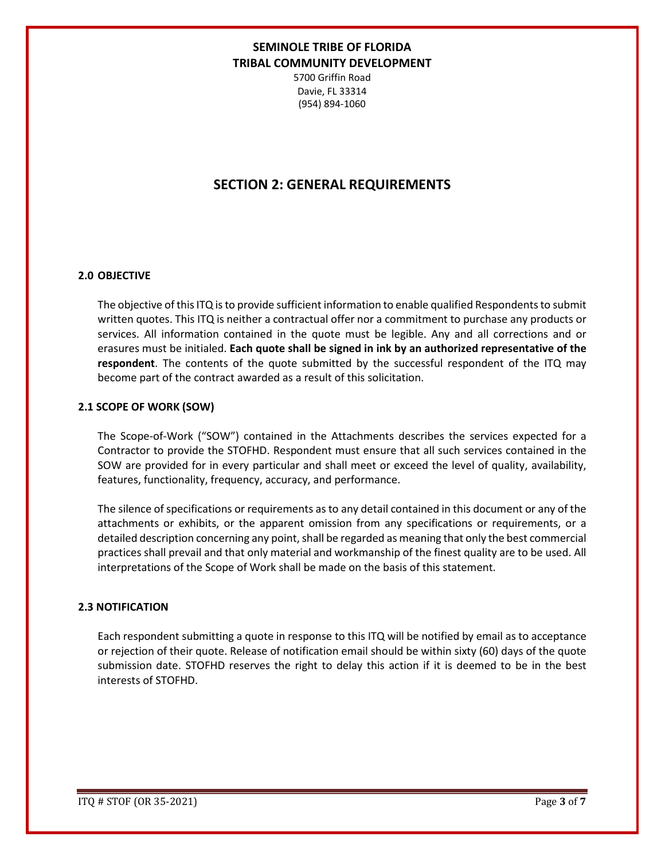5700 Griffin Road Davie, FL 33314 (954) 894-1060

## **SECTION 2: GENERAL REQUIREMENTS**

#### **2.0 OBJECTIVE**

The objective of this ITQ is to provide sufficient information to enable qualified Respondents to submit written quotes. This ITQ is neither a contractual offer nor a commitment to purchase any products or services. All information contained in the quote must be legible. Any and all corrections and or erasures must be initialed. **Each quote shall be signed in ink by an authorized representative of the respondent**. The contents of the quote submitted by the successful respondent of the ITQ may become part of the contract awarded as a result of this solicitation.

#### **2.1 SCOPE OF WORK (SOW)**

The Scope-of-Work ("SOW") contained in the Attachments describes the services expected for a Contractor to provide the STOFHD. Respondent must ensure that all such services contained in the SOW are provided for in every particular and shall meet or exceed the level of quality, availability, features, functionality, frequency, accuracy, and performance.

The silence of specifications or requirements as to any detail contained in this document or any of the attachments or exhibits, or the apparent omission from any specifications or requirements, or a detailed description concerning any point, shall be regarded as meaning that only the best commercial practices shall prevail and that only material and workmanship of the finest quality are to be used. All interpretations of the Scope of Work shall be made on the basis of this statement.

#### **2.3 NOTIFICATION**

Each respondent submitting a quote in response to this ITQ will be notified by email as to acceptance or rejection of their quote. Release of notification email should be within sixty (60) days of the quote submission date. STOFHD reserves the right to delay this action if it is deemed to be in the best interests of STOFHD.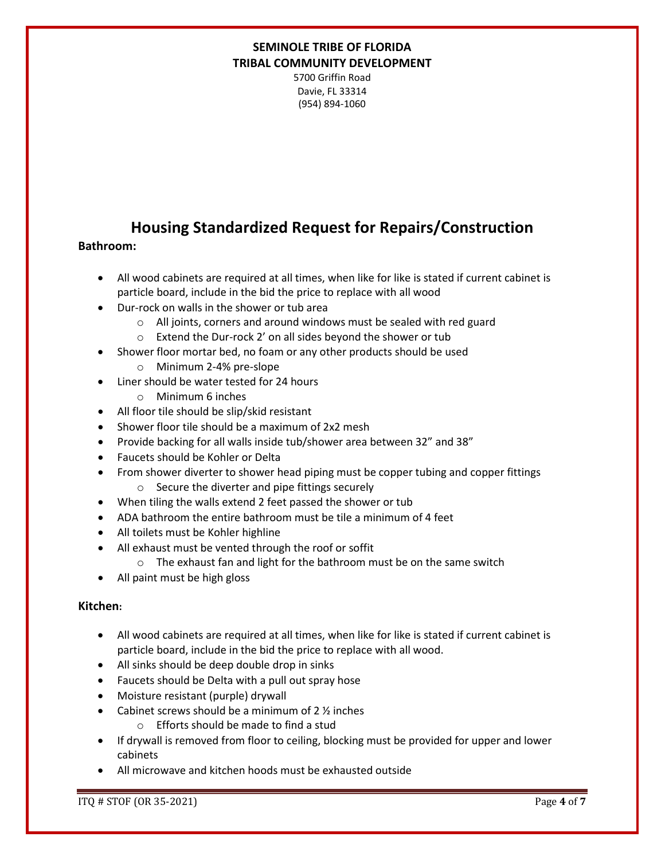5700 Griffin Road Davie, FL 33314 (954) 894-1060

# **Housing Standardized Request for Repairs/Construction**

### **Bathroom:**

- All wood cabinets are required at all times, when like for like is stated if current cabinet is particle board, include in the bid the price to replace with all wood
- Dur-rock on walls in the shower or tub area
	- o All joints, corners and around windows must be sealed with red guard
	- o Extend the Dur-rock 2' on all sides beyond the shower or tub
- Shower floor mortar bed, no foam or any other products should be used
	- o Minimum 2-4% pre-slope
- Liner should be water tested for 24 hours
	- o Minimum 6 inches
- All floor tile should be slip/skid resistant
- Shower floor tile should be a maximum of 2x2 mesh
- Provide backing for all walls inside tub/shower area between 32" and 38"
- Faucets should be Kohler or Delta
- From shower diverter to shower head piping must be copper tubing and copper fittings o Secure the diverter and pipe fittings securely
- When tiling the walls extend 2 feet passed the shower or tub
- ADA bathroom the entire bathroom must be tile a minimum of 4 feet
- All toilets must be Kohler highline
- All exhaust must be vented through the roof or soffit
	- o The exhaust fan and light for the bathroom must be on the same switch
- All paint must be high gloss

### **Kitchen:**

- All wood cabinets are required at all times, when like for like is stated if current cabinet is particle board, include in the bid the price to replace with all wood.
- All sinks should be deep double drop in sinks
- Faucets should be Delta with a pull out spray hose
- Moisture resistant (purple) drywall
- Cabinet screws should be a minimum of 2 ½ inches
	- o Efforts should be made to find a stud
- If drywall is removed from floor to ceiling, blocking must be provided for upper and lower cabinets
- All microwave and kitchen hoods must be exhausted outside

ITQ # STOF (OR 35-2021) Page **4** of **7**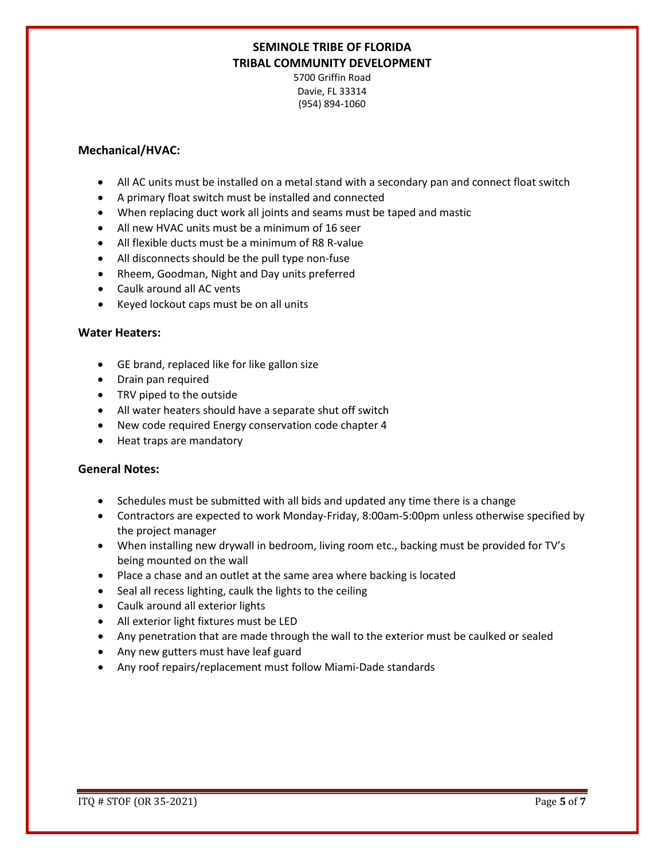5700 Griffin Road Davie, FL 33314 (954) 894-1060

### **Mechanical/HVAC:**

- All AC units must be installed on a metal stand with a secondary pan and connect float switch
- A primary float switch must be installed and connected
- When replacing duct work all joints and seams must be taped and mastic
- All new HVAC units must be a minimum of 16 seer
- All flexible ducts must be a minimum of R8 R-value
- All disconnects should be the pull type non-fuse
- Rheem, Goodman, Night and Day units preferred
- Caulk around all AC vents
- Keyed lockout caps must be on all units

#### **Water Heaters:**

- GE brand, replaced like for like gallon size
- Drain pan required
- TRV piped to the outside
- All water heaters should have a separate shut off switch
- New code required Energy conservation code chapter 4
- Heat traps are mandatory

#### **General Notes:**

- Schedules must be submitted with all bids and updated any time there is a change
- Contractors are expected to work Monday-Friday, 8:00am-5:00pm unless otherwise specified by the project manager
- When installing new drywall in bedroom, living room etc., backing must be provided for TV's being mounted on the wall
- Place a chase and an outlet at the same area where backing is located
- Seal all recess lighting, caulk the lights to the ceiling
- Caulk around all exterior lights
- All exterior light fixtures must be LED
- Any penetration that are made through the wall to the exterior must be caulked or sealed
- Any new gutters must have leaf guard
- Any roof repairs/replacement must follow Miami-Dade standards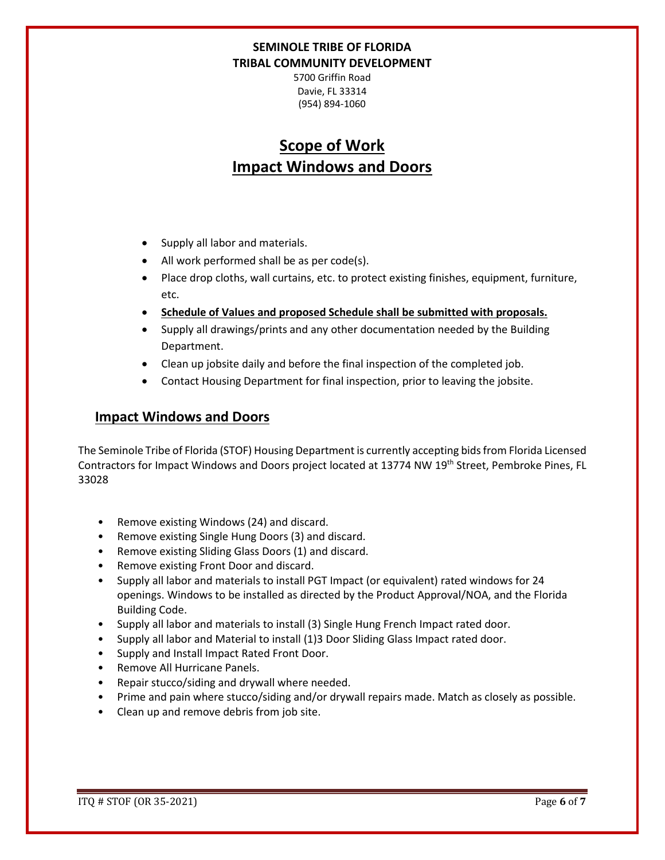5700 Griffin Road Davie, FL 33314 (954) 894-1060

# **Scope of Work Impact Windows and Doors**

- Supply all labor and materials.
- All work performed shall be as per code(s).
- Place drop cloths, wall curtains, etc. to protect existing finishes, equipment, furniture, etc.
- **Schedule of Values and proposed Schedule shall be submitted with proposals.**
- Supply all drawings/prints and any other documentation needed by the Building Department.
- Clean up jobsite daily and before the final inspection of the completed job.
- Contact Housing Department for final inspection, prior to leaving the jobsite.

## **Impact Windows and Doors**

The Seminole Tribe of Florida (STOF) Housing Department is currently accepting bids from Florida Licensed Contractors for Impact Windows and Doors project located at 13774 NW 19<sup>th</sup> Street, Pembroke Pines, FL 33028

- Remove existing Windows (24) and discard.
- Remove existing Single Hung Doors (3) and discard.
- Remove existing Sliding Glass Doors (1) and discard.
- Remove existing Front Door and discard.
- Supply all labor and materials to install PGT Impact (or equivalent) rated windows for 24 openings. Windows to be installed as directed by the Product Approval/NOA, and the Florida Building Code.
- Supply all labor and materials to install (3) Single Hung French Impact rated door.
- Supply all labor and Material to install (1)3 Door Sliding Glass Impact rated door.
- Supply and Install Impact Rated Front Door.
- Remove All Hurricane Panels.
- Repair stucco/siding and drywall where needed.
- Prime and pain where stucco/siding and/or drywall repairs made. Match as closely as possible.
- Clean up and remove debris from job site.